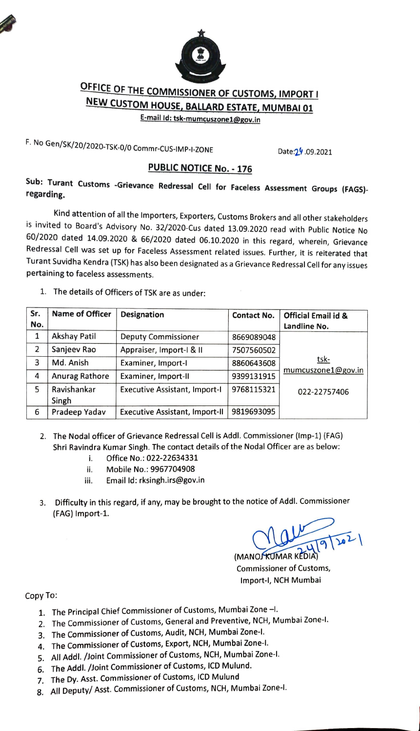

## OFFICE OF THE COMMISSIONER OF CUSTOMS, IMPORT I<br>NEW CUSTOM HOUSE, BALLARD ESTATE, MUMBAI 01<br>E-mail Id: tsk-mumcuszone1@gov.in

F. No Gen/SK/20/2020-TSK-0/0 Commr-CUS-IMP-I-ZONE Date:2.9.09.2021

## PUBLIC NOTICE No. -176

Sub: Turant Customs -Grievance Redressal Cell for Faceless Assessment Groups (FAGS)-<br>regarding.

Kind attention of all the Importers, Exporters, Customs Brokers and all other stakeholders is invited to Board's Advisory No. 32/2020-Cus dated 13.09.2020 read with Public Notice No 60/2020 dated 14.09.2020 & 66/2020 dated 06.10.2020 in this regard, wherein, Grievance Redressal Cell was set up for Faceless Assessment related issues. Further, it is reiterated that Turant Suvidha Kendra (TSK) has also been designated as a Grievance Redressal Cell for any issues pertaining to faceless assessments.

1. The details of Officers of TSK are as under:

| Sr.<br>No.   | <b>Name of Officer</b> | <b>Designation</b>                    | <b>Contact No.</b> | <b>Official Email id &amp;</b><br>Landline No. |
|--------------|------------------------|---------------------------------------|--------------------|------------------------------------------------|
| $\mathbf{1}$ | <b>Akshay Patil</b>    | <b>Deputy Commissioner</b>            | 8669089048         |                                                |
| 2            | Sanjeev Rao            | Appraiser, Import-I & II              | 7507560502         |                                                |
| 3            | Md. Anish              | Examiner, Import-I                    | 8860643608         | tsk-                                           |
| 4            | Anurag Rathore         | Examiner, Import-II                   | 9399131915         | mumcuszone1@gov.in                             |
| 5            | Ravishankar<br>Singh   | <b>Executive Assistant, Import-I</b>  | 9768115321         | 022-22757406                                   |
| 6            | Pradeep Yadav          | <b>Executive Assistant, Import-II</b> | 9819693095         |                                                |

- 2. The Nodal officer of Grievance Redressal Cell is Addl. Commissioner (Imp-1) (FAG) Shri Ravindra Kumar Singh. The contact details of the Nodal Officer are as below:
	- i. Office No.: 022-22634331
	- ii. Mobile No.: 9967704908
	- ii. Email ld: rksingh.irs@gov.in
- Difficulty in this regard, if any, may be brought to the notice of Addl. Commissioner<br>FAG) Import-1. (FAG) Import-1.

 $\sqrt{10}$ 

(MANOJ KUMARK Commissioner of Customs, Import-l, NCH Mumbai

Copy To:

- 1. The Principal Chief Commissioner of Customs, Mumbai Zone -1.
- 2. The Commissioner of Customs, General and Preventive, NCH, Mumbai Zone-I.
- 3. The Commissioner of Customs, Audit, NCH, Mumbai Zone-l.
- 4. The Commissioner of Customs, Export, NCH, Mumbai Zone-I.
- 5. All Addl. /Joint Commissioner of Customs, NCH, Mumbai Zone-I.
- 6. The Addl. /Joint Commissioner of Customs, ICD Mulund.
- 7. The Dy. Asst. Commissioner of Customs, ICD Mulund
- 8. All Deputy/ Asst. Commissioner of Customs, NCH, Mumbai Zone-I.